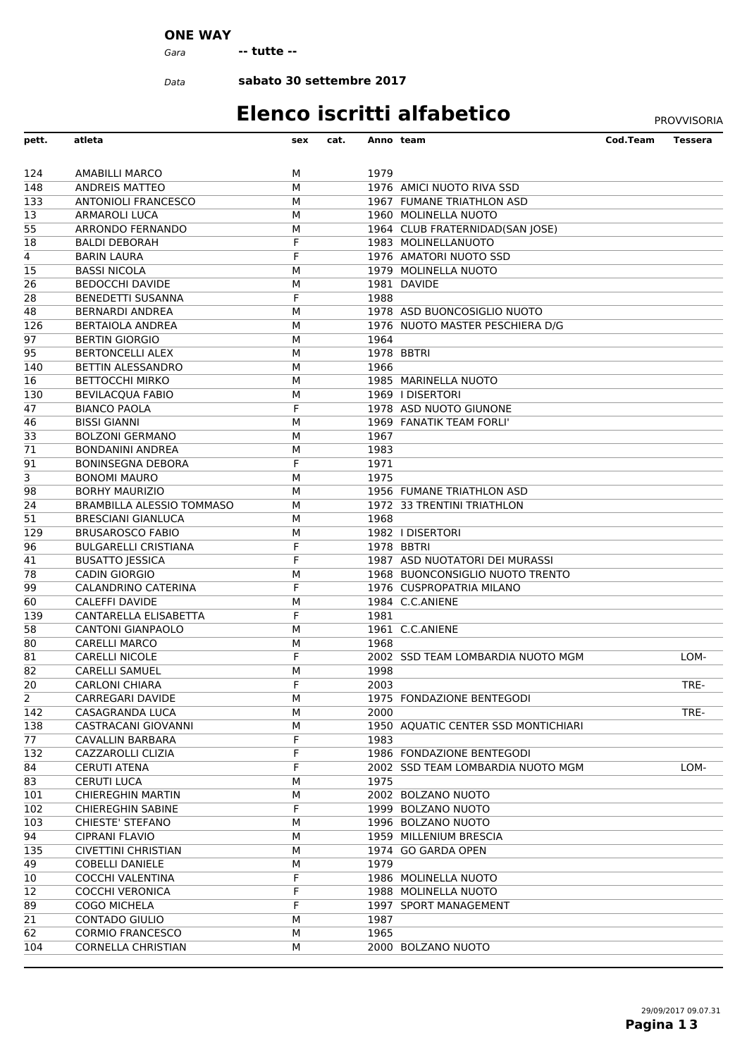## **ONE WAY**

*Gara* **-- tutte --**

*Data*

**sabato 30 settembre 2017**

## **Elenco iscritti alfabetico** PROVVISORIA

| pett.          | atleta                           | sex | cat. |      | Anno team                           | Cod.Team | <b>Tessera</b> |
|----------------|----------------------------------|-----|------|------|-------------------------------------|----------|----------------|
| 124            | <b>AMABILLI MARCO</b>            | м   |      | 1979 |                                     |          |                |
| 148            | <b>ANDREIS MATTEO</b>            | М   |      |      | 1976 AMICI NUOTO RIVA SSD           |          |                |
| 133            | <b>ANTONIOLI FRANCESCO</b>       | М   |      |      | 1967 FUMANE TRIATHLON ASD           |          |                |
| 13             | <b>ARMAROLI LUCA</b>             | М   |      |      | 1960 MOLINELLA NUOTO                |          |                |
| 55             | ARRONDO FERNANDO                 | М   |      |      | 1964 CLUB FRATERNIDAD(SAN JOSE)     |          |                |
| 18             | <b>BALDI DEBORAH</b>             | F   |      |      | 1983 MOLINELLANUOTO                 |          |                |
| 4              | <b>BARIN LAURA</b>               | F   |      |      | 1976 AMATORI NUOTO SSD              |          |                |
| 15             | <b>BASSI NICOLA</b>              | М   |      |      | 1979 MOLINELLA NUOTO                |          |                |
| 26             | <b>BEDOCCHI DAVIDE</b>           | М   |      |      | 1981 DAVIDE                         |          |                |
| 28             | <b>BENEDETTI SUSANNA</b>         | F   |      | 1988 |                                     |          |                |
| 48             | <b>BERNARDI ANDREA</b>           | М   |      |      | 1978 ASD BUONCOSIGLIO NUOTO         |          |                |
| 126            | <b>BERTAIOLA ANDREA</b>          | М   |      |      | 1976 NUOTO MASTER PESCHIERA D/G     |          |                |
| 97             | <b>BERTIN GIORGIO</b>            | М   |      | 1964 |                                     |          |                |
| 95             | <b>BERTONCELLI ALEX</b>          | М   |      |      | 1978 BBTRI                          |          |                |
| 140            | BETTIN ALESSANDRO                | М   |      | 1966 |                                     |          |                |
| 16             | <b>BETTOCCHI MIRKO</b>           | М   |      |      | 1985 MARINELLA NUOTO                |          |                |
| 130            | <b>BEVILACQUA FABIO</b>          | М   |      |      | 1969   DISERTORI                    |          |                |
| 47             | <b>BIANCO PAOLA</b>              | F   |      |      | 1978 ASD NUOTO GIUNONE              |          |                |
| 46             | <b>BISSI GIANNI</b>              | М   |      |      | 1969 FANATIK TEAM FORLI'            |          |                |
| 33             | <b>BOLZONI GERMANO</b>           | М   |      | 1967 |                                     |          |                |
| 71             | <b>BONDANINI ANDREA</b>          | М   |      | 1983 |                                     |          |                |
| 91             | <b>BONINSEGNA DEBORA</b>         | F   |      | 1971 |                                     |          |                |
| $\overline{3}$ | <b>BONOMI MAURO</b>              | М   |      | 1975 |                                     |          |                |
| 98             | <b>BORHY MAURIZIO</b>            | М   |      |      | 1956 FUMANE TRIATHLON ASD           |          |                |
| 24             | <b>BRAMBILLA ALESSIO TOMMASO</b> | М   |      |      | 1972 33 TRENTINI TRIATHLON          |          |                |
| 51             | <b>BRESCIANI GIANLUCA</b>        | М   |      | 1968 |                                     |          |                |
| 129            | <b>BRUSAROSCO FABIO</b>          | М   |      |      | 1982   DISERTORI                    |          |                |
| 96             | <b>BULGARELLI CRISTIANA</b>      | F   |      |      | 1978 BBTRI                          |          |                |
| 41             | <b>BUSATTO JESSICA</b>           | F   |      |      | 1987 ASD NUOTATORI DEI MURASSI      |          |                |
| 78             | CADIN GIORGIO                    | М   |      |      | 1968 BUONCONSIGLIO NUOTO TRENTO     |          |                |
| 99             | CALANDRINO CATERINA              | F   |      |      | 1976 CUSPROPATRIA MILANO            |          |                |
| 60             | <b>CALEFFI DAVIDE</b>            | М   |      |      | 1984 C.C.ANIENE                     |          |                |
| 139            | CANTARELLA ELISABETTA            | F   |      | 1981 |                                     |          |                |
| 58             | <b>CANTONI GIANPAOLO</b>         | М   |      |      | 1961 C.C.ANIENE                     |          |                |
| 80             | <b>CARELLI MARCO</b>             | М   |      | 1968 |                                     |          |                |
| 81             | <b>CARELLI NICOLE</b>            | F   |      |      | 2002 SSD TEAM LOMBARDIA NUOTO MGM   |          | LOM-           |
| 82             | <b>CARELLI SAMUEL</b>            | М   |      | 1998 |                                     |          |                |
| 20             | <b>CARLONI CHIARA</b>            | F   |      | 2003 |                                     |          | TRE-           |
| $\overline{2}$ | CARREGARI DAVIDE                 | м   |      |      | 1975 FONDAZIONE BENTEGODI           |          |                |
| 142            | CASAGRANDA LUCA                  | м   |      | 2000 |                                     |          | TRE-           |
| 138            | CASTRACANI GIOVANNI              | М   |      |      | 1950 AQUATIC CENTER SSD MONTICHIARI |          |                |
| 77             | CAVALLIN BARBARA                 | F   |      | 1983 |                                     |          |                |
| 132            | CAZZAROLLI CLIZIA                | F   |      |      | 1986 FONDAZIONE BENTEGODI           |          |                |
| 84             | <b>CERUTI ATENA</b>              | F   |      |      | 2002 SSD TEAM LOMBARDIA NUOTO MGM   |          | LOM-           |
| 83             | <b>CERUTI LUCA</b>               | м   |      | 1975 |                                     |          |                |
| 101            | <b>CHIEREGHIN MARTIN</b>         | М   |      |      | 2002 BOLZANO NUOTO                  |          |                |
| 102            | <b>CHIEREGHIN SABINE</b>         | F   |      |      | 1999 BOLZANO NUOTO                  |          |                |
| 103            | CHIESTE' STEFANO                 | м   |      |      | 1996 BOLZANO NUOTO                  |          |                |
| 94             | <b>CIPRANI FLAVIO</b>            | м   |      |      | 1959 MILLENIUM BRESCIA              |          |                |
| 135            | <b>CIVETTINI CHRISTIAN</b>       | М   |      |      | 1974 GO GARDA OPEN                  |          |                |
| 49             | <b>COBELLI DANIELE</b>           | м   |      | 1979 |                                     |          |                |
| 10             | COCCHI VALENTINA                 | F   |      |      | 1986 MOLINELLA NUOTO                |          |                |
| 12             | <b>COCCHI VERONICA</b>           | F   |      |      | 1988 MOLINELLA NUOTO                |          |                |
| 89             | COGO MICHELA                     | F   |      |      | 1997 SPORT MANAGEMENT               |          |                |
| 21             | <b>CONTADO GIULIO</b>            | м   |      | 1987 |                                     |          |                |
| 62             | <b>CORMIO FRANCESCO</b>          | М   |      | 1965 |                                     |          |                |
| 104            | <b>CORNELLA CHRISTIAN</b>        | м   |      |      | 2000 BOLZANO NUOTO                  |          |                |
|                |                                  |     |      |      |                                     |          |                |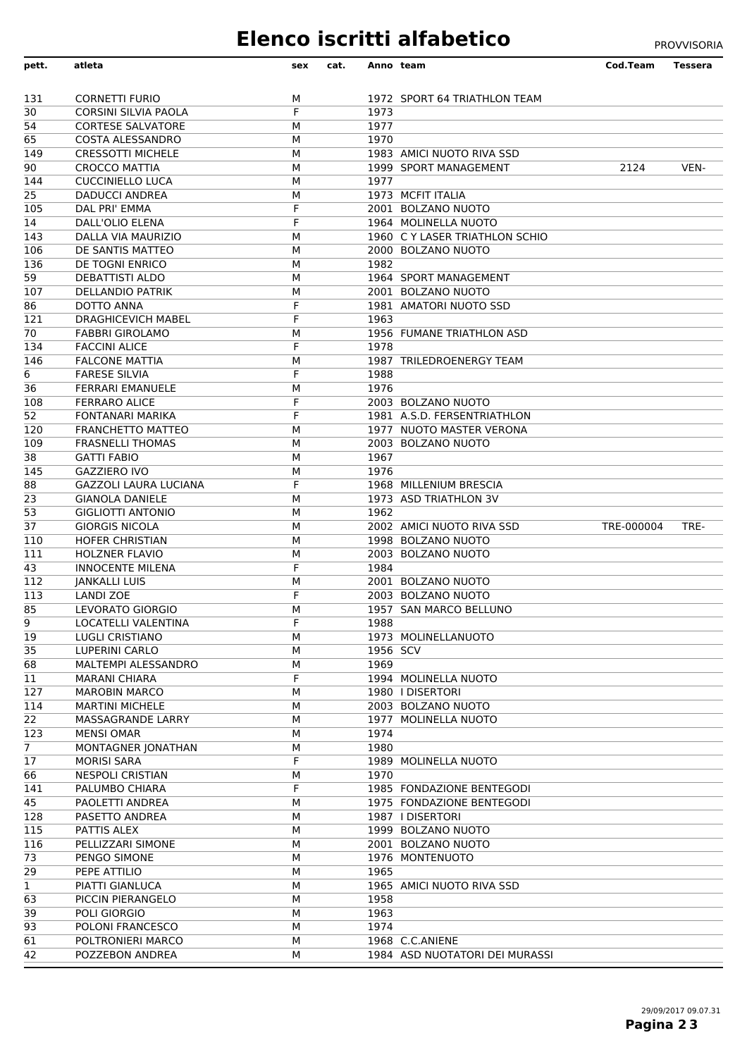## **Elenco iscritti alfabetico** PROVVISORIA

| pett.           | atleta                                          | sex    | cat. |          | Anno team                                | Cod.Team   | <b>Tessera</b> |
|-----------------|-------------------------------------------------|--------|------|----------|------------------------------------------|------------|----------------|
| 131             | <b>CORNETTI FURIO</b>                           | м      |      |          | 1972 SPORT 64 TRIATHLON TEAM             |            |                |
| 30              | <b>CORSINI SILVIA PAOLA</b>                     | F      |      | 1973     |                                          |            |                |
| 54              | <b>CORTESE SALVATORE</b>                        | м      |      | 1977     |                                          |            |                |
| 65              | COSTA ALESSANDRO                                | М      |      | 1970     |                                          |            |                |
| 149             | <b>CRESSOTTI MICHELE</b>                        | М      |      |          | 1983 AMICI NUOTO RIVA SSD                |            |                |
| 90              | <b>CROCCO MATTIA</b>                            | м      |      |          | 1999 SPORT MANAGEMENT                    | 2124       | VEN-           |
| 144             | <b>CUCCINIELLO LUCA</b>                         | M      |      | 1977     |                                          |            |                |
| 25              | <b>DADUCCI ANDREA</b>                           | M      |      |          | 1973 MCFIT ITALIA                        |            |                |
| 105             | DAL PRI' EMMA                                   | F      |      |          | 2001 BOLZANO NUOTO                       |            |                |
| 14              | DALL'OLIO ELENA                                 | F      |      |          | 1964 MOLINELLA NUOTO                     |            |                |
| 143             | DALLA VIA MAURIZIO                              | М      |      |          | 1960 C Y LASER TRIATHLON SCHIO           |            |                |
| 106             | DE SANTIS MATTEO                                | М      |      |          | 2000 BOLZANO NUOTO                       |            |                |
| 136             | <b>DE TOGNI ENRICO</b>                          | M      |      | 1982     |                                          |            |                |
| 59              | DEBATTISTI ALDO                                 | М      |      |          | 1964 SPORT MANAGEMENT                    |            |                |
| 107             | <b>DELLANDIO PATRIK</b>                         | м      |      |          | 2001 BOLZANO NUOTO                       |            |                |
| 86              | DOTTO ANNA<br><b>DRAGHICEVICH MABEL</b>         | F<br>F |      | 1963     | 1981 AMATORI NUOTO SSD                   |            |                |
| 121<br>70       | <b>FABBRI GIROLAMO</b>                          | M      |      |          | 1956 FUMANE TRIATHLON ASD                |            |                |
| 134             | <b>FACCINI ALICE</b>                            | F      |      | 1978     |                                          |            |                |
| 146             | <b>FALCONE MATTIA</b>                           | M      |      |          | 1987 TRILEDROENERGY TEAM                 |            |                |
| 6               | <b>FARESE SILVIA</b>                            | F      |      | 1988     |                                          |            |                |
| 36              | <b>FERRARI EMANUELE</b>                         | М      |      | 1976     |                                          |            |                |
| 108             | <b>FERRARO ALICE</b>                            | F      |      |          | 2003 BOLZANO NUOTO                       |            |                |
| 52              | FONTANARI MARIKA                                | F      |      |          | 1981 A.S.D. FERSENTRIATHLON              |            |                |
| 120             | <b>FRANCHETTO MATTEO</b>                        | М      |      |          | 1977 NUOTO MASTER VERONA                 |            |                |
| 109             | <b>FRASNELLI THOMAS</b>                         | M      |      |          | 2003 BOLZANO NUOTO                       |            |                |
| 38              | <b>GATTI FABIO</b>                              | м      |      | 1967     |                                          |            |                |
| 145             | <b>GAZZIERO IVO</b>                             | М      |      | 1976     |                                          |            |                |
| 88              | <b>GAZZOLI LAURA LUCIANA</b>                    | F      |      |          | 1968 MILLENIUM BRESCIA                   |            |                |
| 23              | <b>GIANOLA DANIELE</b>                          | M      |      |          | 1973 ASD TRIATHLON 3V                    |            |                |
| $\overline{53}$ | <b>GIGLIOTTI ANTONIO</b>                        | M      |      | 1962     |                                          |            |                |
| 37              | <b>GIORGIS NICOLA</b>                           | M      |      |          | 2002 AMICI NUOTO RIVA SSD                | TRE-000004 | TRE-           |
| 110<br>111      | <b>HOFER CHRISTIAN</b><br><b>HOLZNER FLAVIO</b> | м      |      |          | 1998 BOLZANO NUOTO<br>2003 BOLZANO NUOTO |            |                |
| 43              | <b>INNOCENTE MILENA</b>                         | М<br>F |      | 1984     |                                          |            |                |
| 112             | <b>JANKALLI LUIS</b>                            | M      |      |          | 2001 BOLZANO NUOTO                       |            |                |
| 113             | LANDI ZOE                                       | F      |      |          | 2003 BOLZANO NUOTO                       |            |                |
| 85              | LEVORATO GIORGIO                                | м      |      |          | 1957 SAN MARCO BELLUNO                   |            |                |
| 9               | LOCATELLI VALENTINA                             | F      |      | 1988     |                                          |            |                |
| 19              | <b>LUGLI CRISTIANO</b>                          | М      |      |          | 1973 MOLINELLANUOTO                      |            |                |
| 35              | LUPERINI CARLO                                  | м      |      | 1956 SCV |                                          |            |                |
| 68              | MALTEMPI ALESSANDRO                             | М      |      | 1969     |                                          |            |                |
| 11              | <b>MARANI CHIARA</b>                            | F      |      |          | 1994 MOLINELLA NUOTO                     |            |                |
| 127             | <b>MAROBIN MARCO</b>                            | М      |      |          | 1980   DISERTORI                         |            |                |
| 114             | <b>MARTINI MICHELE</b>                          | М      |      |          | 2003 BOLZANO NUOTO                       |            |                |
| 22              | MASSAGRANDE LARRY                               | М      |      |          | 1977 MOLINELLA NUOTO                     |            |                |
| 123             | <b>MENSI OMAR</b>                               | м      |      | 1974     |                                          |            |                |
| $\overline{7}$  | MONTAGNER JONATHAN                              | М      |      | 1980     |                                          |            |                |
| 17              | MORISI SARA<br><b>NESPOLI CRISTIAN</b>          | F<br>M |      | 1970     | 1989 MOLINELLA NUOTO                     |            |                |
| 66<br>141       | PALUMBO CHIARA                                  | F      |      |          | 1985 FONDAZIONE BENTEGODI                |            |                |
| 45              | PAOLETTI ANDREA                                 | М      |      |          | 1975 FONDAZIONE BENTEGODI                |            |                |
| 128             | PASETTO ANDREA                                  | м      |      |          | 1987   DISERTORI                         |            |                |
| 115             | PATTIS ALEX                                     | М      |      |          | 1999 BOLZANO NUOTO                       |            |                |
| 116             | PELLIZZARI SIMONE                               | М      |      |          | 2001 BOLZANO NUOTO                       |            |                |
| 73              | PENGO SIMONE                                    | M      |      |          | 1976 MONTENUOTO                          |            |                |
| 29              | PEPE ATTILIO                                    | М      |      | 1965     |                                          |            |                |
| 1               | PIATTI GIANLUCA                                 | М      |      |          | 1965 AMICI NUOTO RIVA SSD                |            |                |
| 63              | PICCIN PIERANGELO                               | м      |      | 1958     |                                          |            |                |
| 39              | POLI GIORGIO                                    | М      |      | 1963     |                                          |            |                |
| 93              | POLONI FRANCESCO                                | М      |      | 1974     |                                          |            |                |
| 61              | POLTRONIERI MARCO                               | M      |      |          | 1968 C.C.ANIENE                          |            |                |
| 42              | POZZEBON ANDREA                                 | м      |      |          | 1984 ASD NUOTATORI DEI MURASSI           |            |                |